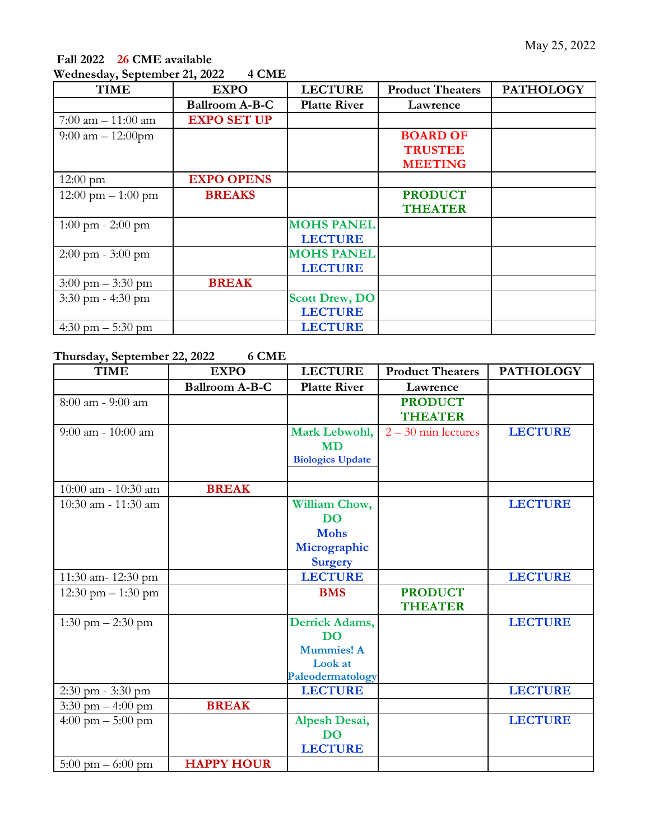## **Fall 2022 26 CME available Wednesday, September 21, 2022 4 CME**

| <b>TIME</b>                          | <b>EXPO</b>           | <b>LECTURE</b>        | <b>Product Theaters</b> | <b>PATHOLOGY</b> |
|--------------------------------------|-----------------------|-----------------------|-------------------------|------------------|
|                                      | <b>Ballroom A-B-C</b> | <b>Platte River</b>   | Lawrence                |                  |
| $7:00$ am $-11:00$ am                | <b>EXPO SET UP</b>    |                       |                         |                  |
| $9:00$ am $-12:00$ pm                |                       |                       | <b>BOARD OF</b>         |                  |
|                                      |                       |                       | <b>TRUSTEE</b>          |                  |
|                                      |                       |                       | <b>MEETING</b>          |                  |
| $12:00 \text{ pm}$                   | <b>EXPO OPENS</b>     |                       |                         |                  |
| $12:00 \text{ pm} - 1:00 \text{ pm}$ | <b>BREAKS</b>         |                       | <b>PRODUCT</b>          |                  |
|                                      |                       |                       | <b>THEATER</b>          |                  |
| $1:00 \text{ pm} - 2:00 \text{ pm}$  |                       | <b>MOHS PANEL</b>     |                         |                  |
|                                      |                       | <b>LECTURE</b>        |                         |                  |
| $2:00 \text{ pm} - 3:00 \text{ pm}$  |                       | <b>MOHS PANEL</b>     |                         |                  |
|                                      |                       | <b>LECTURE</b>        |                         |                  |
| $3:00 \text{ pm} - 3:30 \text{ pm}$  | <b>BREAK</b>          |                       |                         |                  |
| $3:30$ pm - $4:30$ pm                |                       | <b>Scott Drew, DO</b> |                         |                  |
|                                      |                       | <b>LECTURE</b>        |                         |                  |
| 4:30 pm $-$ 5:30 pm                  |                       | <b>LECTURE</b>        |                         |                  |

## **Thursday, September 22, 2022 6 CME**

| <b>TIME</b>                         | <b>EXPO</b>           | <b>LECTURE</b>          | <b>Product Theaters</b> | <b>PATHOLOGY</b> |
|-------------------------------------|-----------------------|-------------------------|-------------------------|------------------|
|                                     | <b>Ballroom A-B-C</b> | <b>Platte River</b>     | Lawrence                |                  |
| $8:00$ am - $9:00$ am               |                       |                         | <b>PRODUCT</b>          |                  |
|                                     |                       |                         | <b>THEATER</b>          |                  |
| $9:00$ am - 10:00 am                |                       | Mark Lebwohl,           | $2 - 30$ min lectures   | <b>LECTURE</b>   |
|                                     |                       | <b>MD</b>               |                         |                  |
|                                     |                       | <b>Biologics Update</b> |                         |                  |
|                                     |                       |                         |                         |                  |
| 10:00 am - 10:30 am                 | <b>BREAK</b>          |                         |                         |                  |
| 10:30 am - 11:30 am                 |                       | William Chow,           |                         | <b>LECTURE</b>   |
|                                     |                       | <b>DO</b>               |                         |                  |
|                                     |                       | <b>Mohs</b>             |                         |                  |
|                                     |                       | Micrographic            |                         |                  |
|                                     |                       | <b>Surgery</b>          |                         |                  |
| 11:30 am- $12:30$ pm                |                       | <b>LECTURE</b>          |                         | <b>LECTURE</b>   |
| 12:30 pm $- 1:30$ pm                |                       | <b>BMS</b>              | <b>PRODUCT</b>          |                  |
|                                     |                       |                         | <b>THEATER</b>          |                  |
| 1:30 pm $- 2:30$ pm                 |                       | <b>Derrick Adams,</b>   |                         | <b>LECTURE</b>   |
|                                     |                       | <b>DO</b>               |                         |                  |
|                                     |                       | <b>Mummies! A</b>       |                         |                  |
|                                     |                       | Look at                 |                         |                  |
|                                     |                       | Paleodermatology        |                         |                  |
| $2:30$ pm $-3:30$ pm                |                       | <b>LECTURE</b>          |                         | <b>LECTURE</b>   |
| 3:30 pm $-4:00$ pm                  | <b>BREAK</b>          |                         |                         |                  |
| 4:00 pm $-$ 5:00 pm                 |                       | <b>Alpesh Desai,</b>    |                         | <b>LECTURE</b>   |
|                                     |                       | <b>DO</b>               |                         |                  |
|                                     |                       | <b>LECTURE</b>          |                         |                  |
| $5:00 \text{ pm} - 6:00 \text{ pm}$ | <b>HAPPY HOUR</b>     |                         |                         |                  |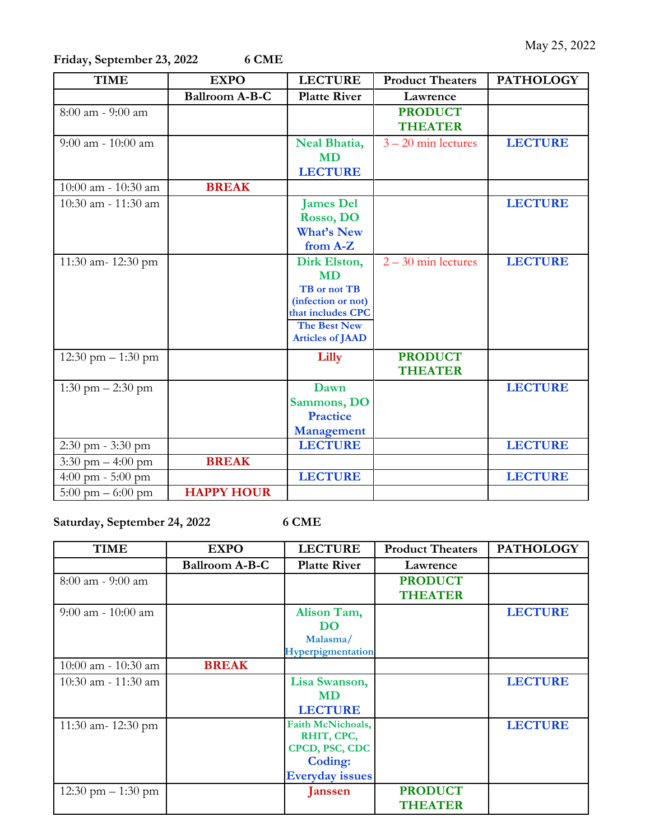**Friday, September 23, 2022 6 CME**

| <b>TIME</b>                         | <b>EXPO</b>           | <b>LECTURE</b>                                 | <b>Product Theaters</b> | <b>PATHOLOGY</b> |
|-------------------------------------|-----------------------|------------------------------------------------|-------------------------|------------------|
|                                     | <b>Ballroom A-B-C</b> | <b>Platte River</b>                            | Lawrence                |                  |
| $8:00$ am - $9:00$ am               |                       |                                                | <b>PRODUCT</b>          |                  |
|                                     |                       |                                                | <b>THEATER</b>          |                  |
| $9:00$ am - 10:00 am                |                       | Neal Bhatia,                                   | $3 - 20$ min lectures   | <b>LECTURE</b>   |
|                                     |                       | <b>MD</b>                                      |                         |                  |
|                                     |                       | <b>LECTURE</b>                                 |                         |                  |
| $10:00$ am - $10:30$ am             | <b>BREAK</b>          |                                                |                         |                  |
| 10:30 am - 11:30 am                 |                       | <b>James Del</b>                               |                         | <b>LECTURE</b>   |
|                                     |                       | Rosso, DO                                      |                         |                  |
|                                     |                       | <b>What's New</b>                              |                         |                  |
|                                     |                       | from A-Z                                       |                         |                  |
| 11:30 am- 12:30 pm                  |                       | Dirk Elston,                                   | $2 - 30$ min lectures   | <b>LECTURE</b>   |
|                                     |                       | <b>MD</b>                                      |                         |                  |
|                                     |                       | TB or not TB                                   |                         |                  |
|                                     |                       | (infection or not)                             |                         |                  |
|                                     |                       | that includes CPC                              |                         |                  |
|                                     |                       | <b>The Best New</b><br><b>Articles of JAAD</b> |                         |                  |
|                                     |                       |                                                |                         |                  |
| 12:30 pm $- 1:30$ pm                |                       | Lilly                                          | <b>PRODUCT</b>          |                  |
|                                     |                       |                                                | <b>THEATER</b>          |                  |
| 1:30 pm $- 2:30$ pm                 |                       | Dawn                                           |                         | <b>LECTURE</b>   |
|                                     |                       | Sammons, DO                                    |                         |                  |
|                                     |                       | <b>Practice</b>                                |                         |                  |
|                                     |                       | <b>Management</b>                              |                         |                  |
| $2:30$ pm - $3:30$ pm               |                       | <b>LECTURE</b>                                 |                         | <b>LECTURE</b>   |
| 3:30 pm $-4:00$ pm                  | <b>BREAK</b>          |                                                |                         |                  |
| 4:00 pm - $5:00$ pm                 |                       | <b>LECTURE</b>                                 |                         | <b>LECTURE</b>   |
| $5:00 \text{ pm} - 6:00 \text{ pm}$ | <b>HAPPY HOUR</b>     |                                                |                         |                  |

**Saturday, September 24, 2022 6 CME**

| <b>TIME</b>             | <b>EXPO</b>           | <b>LECTURE</b>         | <b>Product Theaters</b> | <b>PATHOLOGY</b> |
|-------------------------|-----------------------|------------------------|-------------------------|------------------|
|                         | <b>Ballroom A-B-C</b> | <b>Platte River</b>    | Lawrence                |                  |
| $8:00$ am - 9:00 am     |                       |                        | <b>PRODUCT</b>          |                  |
|                         |                       |                        | <b>THEATER</b>          |                  |
| $9:00$ am - 10:00 am    |                       | Alison Tam,            |                         | <b>LECTURE</b>   |
|                         |                       | DO                     |                         |                  |
|                         |                       | Malasma/               |                         |                  |
|                         |                       | Hyperpigmentation      |                         |                  |
| $10:00$ am - $10:30$ am | <b>BREAK</b>          |                        |                         |                  |
| $10:30$ am - $11:30$ am |                       | Lisa Swanson,          |                         | <b>LECTURE</b>   |
|                         |                       | <b>MD</b>              |                         |                  |
|                         |                       | <b>LECTURE</b>         |                         |                  |
| 11:30 am- $12:30$ pm    |                       | Faith McNichoals,      |                         | <b>LECTURE</b>   |
|                         |                       | RHIT, CPC,             |                         |                  |
|                         |                       | CPCD, PSC, CDC         |                         |                  |
|                         |                       | <b>Coding:</b>         |                         |                  |
|                         |                       | <b>Everyday issues</b> |                         |                  |
| 12:30 pm $-1:30$ pm     |                       | <b>Janssen</b>         | <b>PRODUCT</b>          |                  |
|                         |                       |                        | <b>THEATER</b>          |                  |